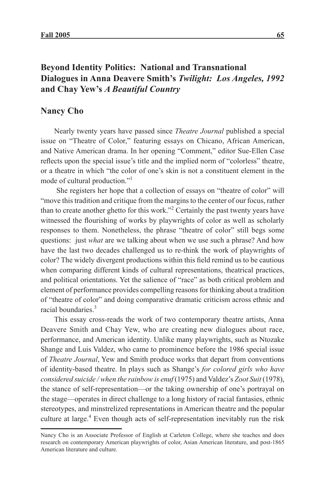# **Beyond Identity Politics: National and Transnational Dialogues in Anna Deavere Smith's** *Twilight: Los Angeles, 1992* **and Chay Yew's** *A Beautiful Country*

# **Nancy Cho**

Nearly twenty years have passed since *Theatre Journal* published a special issue on "Theatre of Color," featuring essays on Chicano, African American, and Native American drama. In her opening "Comment," editor Sue-Ellen Case reflects upon the special issue's title and the implied norm of "colorless" theatre, or a theatre in which "the color of one's skin is not a constituent element in the mode of cultural production."1

 She registers her hope that a collection of essays on "theatre of color" will "move this tradition and critique from the margins to the center of our focus, rather than to create another ghetto for this work."<sup>2</sup> Certainly the past twenty years have witnessed the flourishing of works by playwrights of color as well as scholarly responses to them. Nonetheless, the phrase "theatre of color" still begs some questions: just *what* are we talking about when we use such a phrase? And how have the last two decades challenged us to re-think the work of playwrights of color? The widely divergent productions within this field remind us to be cautious when comparing different kinds of cultural representations, theatrical practices, and political orientations. Yet the salience of "race" as both critical problem and element of performance provides compelling reasons for thinking about a tradition of "theatre of color" and doing comparative dramatic criticism across ethnic and racial boundaries<sup>3</sup>

This essay cross-reads the work of two contemporary theatre artists, Anna Deavere Smith and Chay Yew, who are creating new dialogues about race, performance, and American identity. Unlike many playwrights, such as Ntozake Shange and Luis Valdez, who came to prominence before the 1986 special issue of *Theatre Journal*, Yew and Smith produce works that depart from conventions of identity-based theatre. In plays such as Shange's *for colored girls who have considered suicide / when the rainbow is enuf* (1975) and Valdez's *Zoot Suit* (1978), the stance of self-representation—or the taking ownership of one's portrayal on the stage—operates in direct challenge to a long history of racial fantasies, ethnic stereotypes, and minstrelized representations in American theatre and the popular culture at large.<sup>4</sup> Even though acts of self-representation inevitably run the risk

Nancy Cho is an Associate Professor of English at Carleton College, where she teaches and does research on contemporary American playwrights of color, Asian American literature, and post-1865 American literature and culture.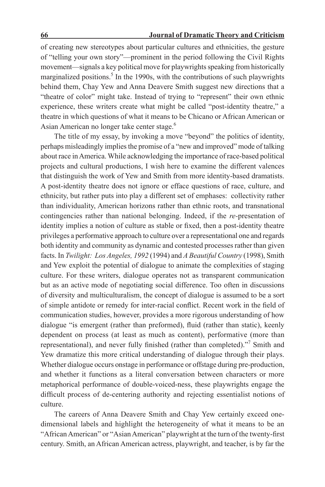of creating new stereotypes about particular cultures and ethnicities, the gesture of "telling your own story"—prominent in the period following the Civil Rights movement—signals a key political move for playwrights speaking from historically marginalized positions.<sup>5</sup> In the 1990s, with the contributions of such playwrights behind them, Chay Yew and Anna Deavere Smith suggest new directions that a "theatre of color" might take. Instead of trying to "represent" their own ethnic experience, these writers create what might be called "post-identity theatre," a theatre in which questions of what it means to be Chicano or African American or Asian American no longer take center stage.<sup>6</sup>

The title of my essay, by invoking a move "beyond" the politics of identity, perhaps misleadingly implies the promise of a "new and improved" mode of talking about race in America. While acknowledging the importance of race-based political projects and cultural productions, I wish here to examine the different valences that distinguish the work of Yew and Smith from more identity-based dramatists. A post-identity theatre does not ignore or efface questions of race, culture, and ethnicity, but rather puts into play a different set of emphases: collectivity rather than individuality, American horizons rather than ethnic roots, and transnational contingencies rather than national belonging. Indeed, if the *re-*presentation of identity implies a notion of culture as stable or fixed, then a post-identity theatre privileges a performative approach to culture over a representational one and regards both identity and community as dynamic and contested processes rather than given facts. In *Twilight: Los Angeles, 1992* (1994) and *A Beautiful Country* (1998), Smith and Yew exploit the potential of dialogue to animate the complexities of staging culture. For these writers, dialogue operates not as transparent communication but as an active mode of negotiating social difference. Too often in discussions of diversity and multiculturalism, the concept of dialogue is assumed to be a sort of simple antidote or remedy for inter-racial conflict. Recent work in the field of communication studies, however, provides a more rigorous understanding of how dialogue "is emergent (rather than preformed), fluid (rather than static), keenly dependent on process (at least as much as content), performative (more than representational), and never fully finished (rather than completed)."<sup>7</sup> Smith and Yew dramatize this more critical understanding of dialogue through their plays. Whether dialogue occurs onstage in performance or offstage during pre-production, and whether it functions as a literal conversation between characters or more metaphorical performance of double-voiced-ness, these playwrights engage the difficult process of de-centering authority and rejecting essentialist notions of culture.

The careers of Anna Deavere Smith and Chay Yew certainly exceed onedimensional labels and highlight the heterogeneity of what it means to be an "African American" or "Asian American" playwright at the turn of the twenty-first century. Smith, an African American actress, playwright, and teacher, is by far the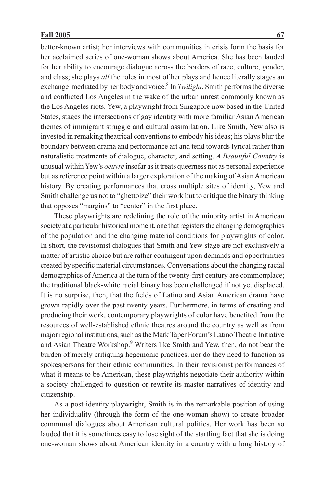better-known artist; her interviews with communities in crisis form the basis for her acclaimed series of one-woman shows about America. She has been lauded for her ability to encourage dialogue across the borders of race, culture, gender, and class; she plays *all* the roles in most of her plays and hence literally stages an exchange mediated by her body and voice.<sup>8</sup> In *Twilight*, Smith performs the diverse and conflicted Los Angeles in the wake of the urban unrest commonly known as the Los Angeles riots. Yew, a playwright from Singapore now based in the United States, stages the intersections of gay identity with more familiar Asian American themes of immigrant struggle and cultural assimilation. Like Smith, Yew also is invested in remaking theatrical conventions to embody his ideas; his plays blur the boundary between drama and performance art and tend towards lyrical rather than naturalistic treatments of dialogue, character, and setting. *A Beautiful Country* is unusual within Yew's *oeuvre* insofar as it treats queerness not as personal experience but as reference point within a larger exploration of the making of Asian American history. By creating performances that cross multiple sites of identity, Yew and Smith challenge us not to "ghettoize" their work but to critique the binary thinking that opposes "margins" to "center" in the first place.

These playwrights are redefining the role of the minority artist in American society at a particular historical moment, one that registers the changing demographics of the population and the changing material conditions for playwrights of color. In short, the revisionist dialogues that Smith and Yew stage are not exclusively a matter of artistic choice but are rather contingent upon demands and opportunities created by specific material circumstances. Conversations about the changing racial demographics of America at the turn of the twenty-first century are commonplace; the traditional black-white racial binary has been challenged if not yet displaced. It is no surprise, then, that the fields of Latino and Asian American drama have grown rapidly over the past twenty years. Furthermore, in terms of creating and producing their work, contemporary playwrights of color have benefited from the resources of well-established ethnic theatres around the country as well as from major regional institutions, such as the Mark Taper Forum's Latino Theatre Initiative and Asian Theatre Workshop.<sup>9</sup> Writers like Smith and Yew, then, do not bear the burden of merely critiquing hegemonic practices, nor do they need to function as spokespersons for their ethnic communities. In their revisionist performances of what it means to be American, these playwrights negotiate their authority within a society challenged to question or rewrite its master narratives of identity and citizenship.

As a post-identity playwright, Smith is in the remarkable position of using her individuality (through the form of the one-woman show) to create broader communal dialogues about American cultural politics. Her work has been so lauded that it is sometimes easy to lose sight of the startling fact that she is doing one-woman shows about American identity in a country with a long history of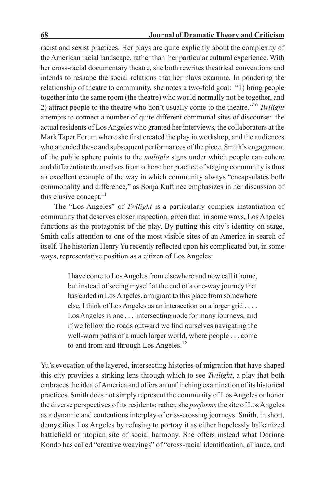## **68 Journal of Dramatic Theory and Criticism**

racist and sexist practices. Her plays are quite explicitly about the complexity of the American racial landscape, rather than her particular cultural experience. With her cross-racial documentary theatre, she both rewrites theatrical conventions and intends to reshape the social relations that her plays examine. In pondering the relationship of theatre to community, she notes a two-fold goal: "1) bring people together into the same room (the theatre) who would normally not be together, and 2) attract people to the theatre who don't usually come to the theatre."10 *Twilight*  attempts to connect a number of quite different communal sites of discourse: the actual residents of Los Angeles who granted her interviews, the collaborators at the Mark Taper Forum where she first created the play in workshop, and the audiences who attended these and subsequent performances of the piece. Smith's engagement of the public sphere points to the *multiple* signs under which people can cohere and differentiate themselves from others; her practice of staging community is thus an excellent example of the way in which community always "encapsulates both commonality and difference," as Sonja Kuftinec emphasizes in her discussion of this elusive concept. $11$ 

The "Los Angeles" of *Twilight* is a particularly complex instantiation of community that deserves closer inspection, given that, in some ways, Los Angeles functions as the protagonist of the play. By putting this city's identity on stage, Smith calls attention to one of the most visible sites of an America in search of itself. The historian Henry Yu recently reflected upon his complicated but, in some ways, representative position as a citizen of Los Angeles:

> I have come to Los Angeles from elsewhere and now call it home, but instead of seeing myself at the end of a one-way journey that has ended in Los Angeles, a migrant to this place from somewhere else, I think of Los Angeles as an intersection on a larger grid . . . . Los Angeles is one . . . intersecting node for many journeys, and if we follow the roads outward we find ourselves navigating the well-worn paths of a much larger world, where people . . . come to and from and through Los Angeles.<sup>12</sup>

Yu's evocation of the layered, intersecting histories of migration that have shaped this city provides a striking lens through which to see *Twilight*, a play that both embraces the idea of America and offers an unflinching examination of its historical practices. Smith does not simply represent the community of Los Angeles or honor the diverse perspectives of its residents; rather, she *performs* the site of Los Angeles as a dynamic and contentious interplay of criss-crossing journeys. Smith, in short, demystifies Los Angeles by refusing to portray it as either hopelessly balkanized battlefield or utopian site of social harmony. She offers instead what Dorinne Kondo has called "creative weavings" of "cross-racial identification, alliance, and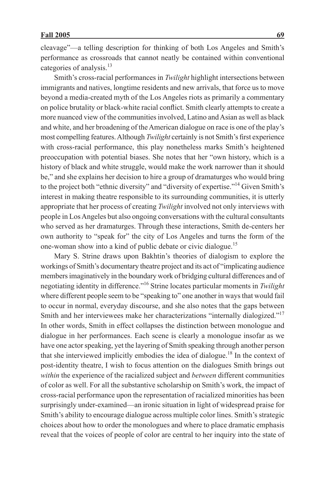cleavage"—a telling description for thinking of both Los Angeles and Smith's performance as crossroads that cannot neatly be contained within conventional categories of analysis.<sup>13</sup>

Smith's cross-racial performances in *Twilight* highlight intersections between immigrants and natives, longtime residents and new arrivals, that force us to move beyond a media-created myth of the Los Angeles riots as primarily a commentary on police brutality or black-white racial conflict. Smith clearly attempts to create a more nuanced view of the communities involved, Latino and Asian as well as black and white, and her broadening of the American dialogue on race is one of the play's most compelling features. Although *Twilight* certainly is not Smith's first experience with cross-racial performance, this play nonetheless marks Smith's heightened preoccupation with potential biases. She notes that her "own history, which is a history of black and white struggle, would make the work narrower than it should be," and she explains her decision to hire a group of dramaturges who would bring to the project both "ethnic diversity" and "diversity of expertise."14 Given Smith's interest in making theatre responsible to its surrounding communities, it is utterly appropriate that her process of creating *Twilight* involved not only interviews with people in Los Angeles but also ongoing conversations with the cultural consultants who served as her dramaturges. Through these interactions, Smith de-centers her own authority to "speak for" the city of Los Angeles and turns the form of the one-woman show into a kind of public debate or civic dialogue.15

Mary S. Strine draws upon Bakhtin's theories of dialogism to explore the workings of Smith's documentary theatre project and its act of "implicating audience members imaginatively in the boundary work of bridging cultural differences and of negotiating identity in difference."16 Strine locates particular moments in *Twilight* where different people seem to be "speaking to" one another in ways that would fail to occur in normal, everyday discourse, and she also notes that the gaps between Smith and her interviewees make her characterizations "internally dialogized."17 In other words, Smith in effect collapses the distinction between monologue and dialogue in her performances. Each scene is clearly a monologue insofar as we have one actor speaking, yet the layering of Smith speaking through another person that she interviewed implicitly embodies the idea of dialogue.<sup>18</sup> In the context of post-identity theatre, I wish to focus attention on the dialogues Smith brings out *within* the experience of the racialized subject and *between* different communities of color as well. For all the substantive scholarship on Smith's work, the impact of cross-racial performance upon the representation of racialized minorities has been surprisingly under-examined—an ironic situation in light of widespread praise for Smith's ability to encourage dialogue across multiple color lines. Smith's strategic choices about how to order the monologues and where to place dramatic emphasis reveal that the voices of people of color are central to her inquiry into the state of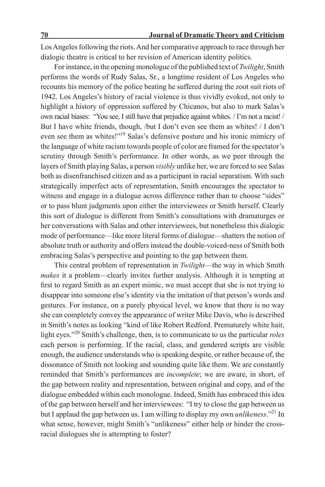Los Angeles following the riots. And her comparative approach to race through her dialogic theatre is critical to her revision of American identity politics.

For instance, in the opening monologue of the published text of *Twilight*, Smith performs the words of Rudy Salas, Sr., a longtime resident of Los Angeles who recounts his memory of the police beating he suffered during the zoot suit riots of 1942. Los Angeles's history of racial violence is thus vividly evoked, not only to highlight a history of oppression suffered by Chicanos, but also to mark Salas's own racial biases: "You see, I still have that prejudice against whites. / I'm not a racist! / But I have white friends, though, /but I don't even see them as whites! / I don't even see them as whites!"19 Salas's defensive posture and his ironic mimicry of the language of white racism towards people of color are framed for the spectator's scrutiny through Smith's performance. In other words, as we peer through the layers of Smith playing Salas, a person *visibly* unlike her, we are forced to see Salas both as disenfranchised citizen and as a participant in racial separatism. With such strategically imperfect acts of representation, Smith encourages the spectator to witness and engage in a dialogue across difference rather than to choose "sides" or to pass blunt judgments upon either the interviewees or Smith herself. Clearly this sort of dialogue is different from Smith's consultations with dramaturges or her conversations with Salas and other interviewees, but nonetheless this dialogic mode of performance—like more literal forms of dialogue—shatters the notion of absolute truth or authority and offers instead the double-voiced-ness of Smith both embracing Salas's perspective and pointing to the gap between them.

This central problem of representation in *Twilight*—the way in which Smith *makes* it a problem—clearly invites further analysis. Although it is tempting at first to regard Smith as an expert mimic, we must accept that she is not trying to disappear into someone else's identity via the imitation of that person's words and gestures. For instance, on a purely physical level, we know that there is no way she can completely convey the appearance of writer Mike Davis, who is described in Smith's notes as looking "kind of like Robert Redford. Prematurely white hair, light eyes."20 Smith's challenge, then, is to communicate to us the particular *roles* each person is performing. If the racial, class, and gendered scripts are visible enough, the audience understands who is speaking despite, or rather because of, the dissonance of Smith not looking and sounding quite like them. We are constantly reminded that Smith's performances are *incomplete*; we are aware, in short, of the gap between reality and representation, between original and copy, and of the dialogue embedded within each monologue. Indeed, Smith has embraced this idea of the gap between herself and her interviewees: "I try to close the gap between us but I applaud the gap between us. I am willing to display my own *unlikeness*."21 In what sense, however, might Smith's "unlikeness" either help or hinder the crossracial dialogues she is attempting to foster?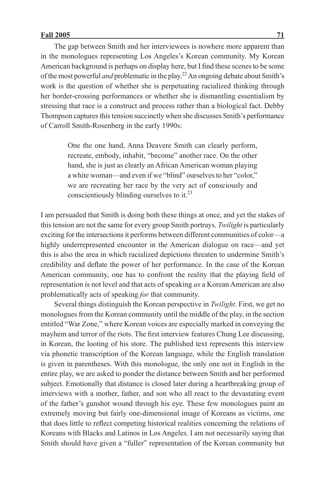The gap between Smith and her interviewees is nowhere more apparent than in the monologues representing Los Angeles's Korean community. My Korean American background is perhaps on display here, but I find these scenes to be some of the most powerful *and* problematic in the play.22 An ongoing debate about Smith's work is the question of whether she is perpetuating racialized thinking through her border-crossing performances or whether she is dismantling essentialism by stressing that race is a construct and process rather than a biological fact. Debby Thompson captures this tension succinctly when she discusses Smith's performance of Carroll Smith-Rosenberg in the early 1990s:

> One the one hand, Anna Deavere Smith can clearly perform, recreate, embody, inhabit, "become" another race. On the other hand, she is just as clearly an African American woman playing a white woman—and even if we "blind" ourselves to her "color," we are recreating her race by the very act of consciously and conscientiously blinding ourselves to it.23

I am persuaded that Smith is doing both these things at once, and yet the stakes of this tension are not the same for every group Smith portrays. *Twilight* is particularly exciting for the intersections it performs between different communities of color—a highly underrepresented encounter in the American dialogue on race—and yet this is also the area in which racialized depictions threaten to undermine Smith's credibility and deflate the power of her performance. In the case of the Korean American community, one has to confront the reality that the playing field of representation is not level and that acts of speaking *as* a Korean American are also problematically acts of speaking *for* that community.

Several things distinguish the Korean perspective in *Twilight*. First, we get no monologues from the Korean community until the middle of the play, in the section entitled "War Zone," where Korean voices are especially marked in conveying the mayhem and terror of the riots. The first interview features Chung Lee discussing, in Korean, the looting of his store. The published text represents this interview via phonetic transcription of the Korean language, while the English translation is given in parentheses. With this monologue, the only one not in English in the entire play, we are asked to ponder the distance between Smith and her performed subject. Emotionally that distance is closed later during a heartbreaking group of interviews with a mother, father, and son who all react to the devastating event of the father's gunshot wound through his eye. These few monologues paint an extremely moving but fairly one-dimensional image of Koreans as victims, one that does little to reflect competing historical realities concerning the relations of Koreans with Blacks and Latinos in Los Angeles. I am not necessarily saying that Smith should have given a "fuller" representation of the Korean community but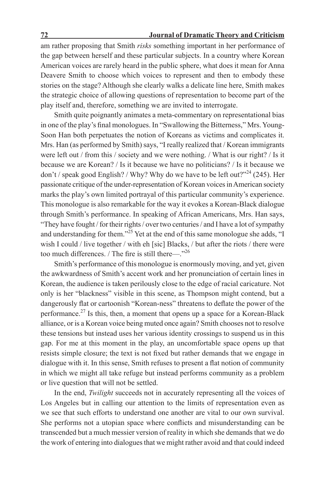### **72 Journal of Dramatic Theory and Criticism**

am rather proposing that Smith *risks* something important in her performance of the gap between herself and these particular subjects. In a country where Korean American voices are rarely heard in the public sphere, what does it mean for Anna Deavere Smith to choose which voices to represent and then to embody these stories on the stage? Although she clearly walks a delicate line here, Smith makes the strategic choice of allowing questions of representation to become part of the play itself and, therefore, something we are invited to interrogate.

Smith quite poignantly animates a meta-commentary on representational bias in one of the play's final monologues. In "Swallowing the Bitterness," Mrs. Young-Soon Han both perpetuates the notion of Koreans as victims and complicates it. Mrs. Han (as performed by Smith) says, "I really realized that / Korean immigrants were left out / from this / society and we were nothing. / What is our right? / Is it because we are Korean? / Is it because we have no politicians? / Is it because we don't / speak good English? / Why? Why do we have to be left out?"<sup>24</sup> (245). Her passionate critique of the under-representation of Korean voices in American society marks the play's own limited portrayal of this particular community's experience. This monologue is also remarkable for the way it evokes a Korean-Black dialogue through Smith's performance. In speaking of African Americans, Mrs. Han says, "They have fought / for their rights / over two centuries / and I have a lot of sympathy and understanding for them."<sup>25</sup> Yet at the end of this same monologue she adds, "I wish I could / live together / with eh [sic] Blacks, / but after the riots / there were too much differences. / The fire is still there—."26

Smith's performance of this monologue is enormously moving, and yet, given the awkwardness of Smith's accent work and her pronunciation of certain lines in Korean, the audience is taken perilously close to the edge of racial caricature. Not only is her "blackness" visible in this scene, as Thompson might contend, but a dangerously flat or cartoonish "Korean-ness" threatens to deflate the power of the performance.<sup>27</sup> Is this, then, a moment that opens up a space for a Korean-Black alliance, or is a Korean voice being muted once again? Smith chooses not to resolve these tensions but instead uses her various identity crossings to suspend us in this gap. For me at this moment in the play, an uncomfortable space opens up that resists simple closure; the text is not fixed but rather demands that we engage in dialogue with it. In this sense, Smith refuses to present a flat notion of community in which we might all take refuge but instead performs community as a problem or live question that will not be settled.

In the end, *Twilight* succeeds not in accurately representing all the voices of Los Angeles but in calling our attention to the limits of representation even as we see that such efforts to understand one another are vital to our own survival. She performs not a utopian space where conflicts and misunderstanding can be transcended but a much messier version of reality in which she demands that we do the work of entering into dialogues that we might rather avoid and that could indeed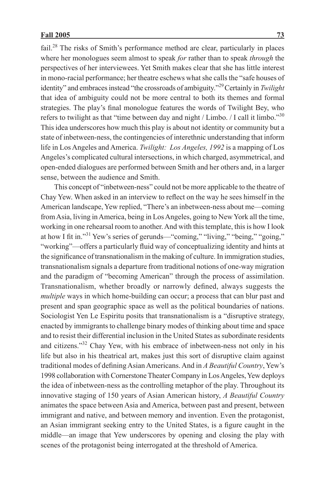fail.<sup>28</sup> The risks of Smith's performance method are clear, particularly in places where her monologues seem almost to speak *for* rather than to speak *through* the perspectives of her interviewees. Yet Smith makes clear that she has little interest in mono-racial performance; her theatre eschews what she calls the "safe houses of identity" and embraces instead "the crossroads of ambiguity."29 Certainly in *Twilight* that idea of ambiguity could not be more central to both its themes and formal strategies. The play's final monologue features the words of Twilight Bey, who refers to twilight as that "time between day and night / Limbo. / I call it limbo."<sup>30</sup> This idea underscores how much this play is about not identity or community but a state of inbetween-ness, the contingencies of interethnic understanding that inform life in Los Angeles and America. *Twilight: Los Angeles, 1992* is a mapping of Los Angeles's complicated cultural intersections, in which charged, asymmetrical, and open-ended dialogues are performed between Smith and her others and, in a larger sense, between the audience and Smith.

This concept of "inbetween-ness" could not be more applicable to the theatre of Chay Yew. When asked in an interview to reflect on the way he sees himself in the American landscape, Yew replied, "There's an inbetween-ness about me—coming from Asia, living in America, being in Los Angeles, going to New York all the time, working in one rehearsal room to another. And with this template, this is how I look at how I fit in."31 Yew's series of gerunds—"coming," "living," "being," "going," "working"—offers a particularly fluid way of conceptualizing identity and hints at the significance of transnationalism in the making of culture. In immigration studies, transnationalism signals a departure from traditional notions of one-way migration and the paradigm of "becoming American" through the process of assimilation. Transnationalism, whether broadly or narrowly defined, always suggests the *multiple* ways in which home-building can occur; a process that can blur past and present and span geographic space as well as the political boundaries of nations. Sociologist Yen Le Espiritu posits that transnationalism is a "disruptive strategy, enacted by immigrants to challenge binary modes of thinking about time and space and to resist their differential inclusion in the United States as subordinate residents and citizens."32 Chay Yew, with his embrace of inbetween-ness not only in his life but also in his theatrical art, makes just this sort of disruptive claim against traditional modes of defining Asian Americans. And in *A Beautiful Country*, Yew's 1998 collaboration with Cornerstone Theater Company in Los Angeles, Yew deploys the idea of inbetween-ness as the controlling metaphor of the play. Throughout its innovative staging of 150 years of Asian American history, *A Beautiful Country* animates the space between Asia and America, between past and present, between immigrant and native, and between memory and invention. Even the protagonist, an Asian immigrant seeking entry to the United States, is a figure caught in the middle—an image that Yew underscores by opening and closing the play with scenes of the protagonist being interrogated at the threshold of America.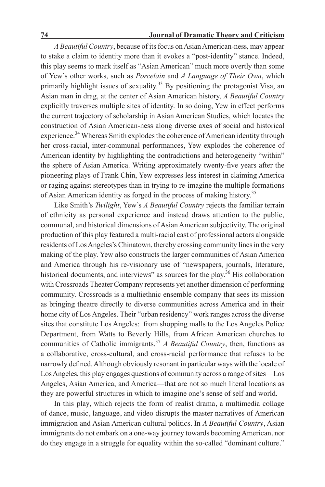*A Beautiful Country*, because of its focus on Asian American-ness, may appear to stake a claim to identity more than it evokes a "post-identity" stance. Indeed, this play seems to mark itself as "Asian American" much more overtly than some of Yew's other works, such as *Porcelain* and *A Language of Their Own*, which primarily highlight issues of sexuality.<sup>33</sup> By positioning the protagonist Visa, an Asian man in drag, at the center of Asian American history, *A Beautiful Country* explicitly traverses multiple sites of identity. In so doing, Yew in effect performs the current trajectory of scholarship in Asian American Studies, which locates the construction of Asian American-ness along diverse axes of social and historical experience.<sup>34</sup> Whereas Smith explodes the coherence of American identity through her cross-racial, inter-communal performances, Yew explodes the coherence of American identity by highlighting the contradictions and heterogeneity "within" the sphere of Asian America. Writing approximately twenty-five years after the pioneering plays of Frank Chin, Yew expresses less interest in claiming America or raging against stereotypes than in trying to re-imagine the multiple formations of Asian American identity as forged in the process of making history.35

Like Smith's *Twilight*, Yew's *A Beautiful Country* rejects the familiar terrain of ethnicity as personal experience and instead draws attention to the public, communal, and historical dimensions of Asian American subjectivity. The original production of this play featured a multi-racial cast of professional actors alongside residents of Los Angeles's Chinatown, thereby crossing community lines in the very making of the play. Yew also constructs the larger communities of Asian America and America through his re-visionary use of "newspapers, journals, literature, historical documents, and interviews" as sources for the play.<sup>36</sup> His collaboration with Crossroads Theater Company represents yet another dimension of performing community. Crossroads is a multiethnic ensemble company that sees its mission as bringing theatre directly to diverse communities across America and in their home city of Los Angeles. Their "urban residency" work ranges across the diverse sites that constitute Los Angeles: from shopping malls to the Los Angeles Police Department, from Watts to Beverly Hills, from African American churches to communities of Catholic immigrants.37 *A Beautiful Country*, then, functions as a collaborative, cross-cultural, and cross-racial performance that refuses to be narrowly defined. Although obviously resonant in particular ways with the locale of Los Angeles, this play engages questions of community across a range of sites—Los Angeles, Asian America, and America—that are not so much literal locations as they are powerful structures in which to imagine one's sense of self and world.

In this play, which rejects the form of realist drama, a multimedia collage of dance, music, language, and video disrupts the master narratives of American immigration and Asian American cultural politics. In *A Beautiful Country*, Asian immigrants do not embark on a one-way journey towards becoming American, nor do they engage in a struggle for equality within the so-called "dominant culture."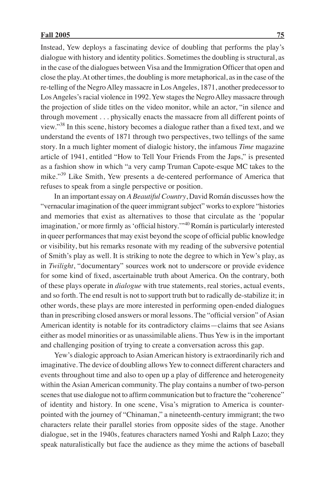Instead, Yew deploys a fascinating device of doubling that performs the play's dialogue with history and identity politics. Sometimes the doubling is structural, as in the case of the dialogues between Visa and the Immigration Officer that open and close the play. At other times, the doubling is more metaphorical, as in the case of the re-telling of the Negro Alley massacre in Los Angeles, 1871, another predecessor to Los Angeles's racial violence in 1992. Yew stages the Negro Alley massacre through the projection of slide titles on the video monitor, while an actor, "in silence and through movement . . . physically enacts the massacre from all different points of view."38 In this scene, history becomes a dialogue rather than a fixed text, and we understand the events of 1871 through two perspectives, two tellings of the same story. In a much lighter moment of dialogic history, the infamous *Time* magazine article of 1941, entitled "How to Tell Your Friends From the Japs," is presented as a fashion show in which "a very camp Truman Capote-esque MC takes to the mike."39 Like Smith, Yew presents a de-centered performance of America that refuses to speak from a single perspective or position.

In an important essay on *A Beautiful Country*, David Román discusses how the "vernacular imagination of the queer immigrant subject" works to explore "histories and memories that exist as alternatives to those that circulate as the 'popular imagination,' or more firmly as 'official history.'"40 Román is particularly interested in queer performances that may exist beyond the scope of official public knowledge or visibility, but his remarks resonate with my reading of the subversive potential of Smith's play as well. It is striking to note the degree to which in Yew's play, as in *Twilight*, "documentary" sources work not to underscore or provide evidence for some kind of fixed, ascertainable truth about America. On the contrary, both of these plays operate in *dialogue* with true statements, real stories, actual events, and so forth. The end result is not to support truth but to radically de-stabilize it; in other words, these plays are more interested in performing open-ended dialogues than in prescribing closed answers or moral lessons. The "official version" of Asian American identity is notable for its contradictory claims—claims that see Asians either as model minorities or as unassimilable aliens. Thus Yew is in the important and challenging position of trying to create a conversation across this gap.

Yew's dialogic approach to Asian American history is extraordinarily rich and imaginative. The device of doubling allows Yew to connect different characters and events throughout time and also to open up a play of difference and heterogeneity within the Asian American community. The play contains a number of two-person scenes that use dialogue not to affirm communication but to fracture the "coherence" of identity and history. In one scene, Visa's migration to America is counterpointed with the journey of "Chinaman," a nineteenth-century immigrant; the two characters relate their parallel stories from opposite sides of the stage. Another dialogue, set in the 1940s, features characters named Yoshi and Ralph Lazo; they speak naturalistically but face the audience as they mime the actions of baseball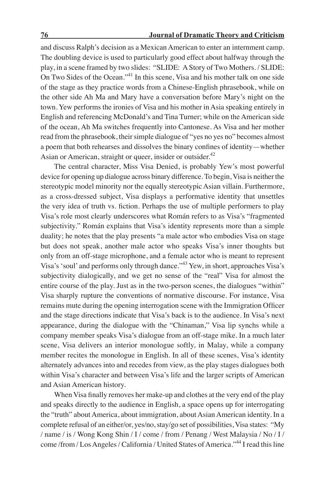and discuss Ralph's decision as a Mexican American to enter an internment camp. The doubling device is used to particularly good effect about halfway through the play, in a scene framed by two slides: "SLIDE: A Story of Two Mothers. / SLIDE: On Two Sides of the Ocean."41 In this scene, Visa and his mother talk on one side of the stage as they practice words from a Chinese-English phrasebook, while on the other side Ah Ma and Mary have a conversation before Mary's night on the town. Yew performs the ironies of Visa and his mother in Asia speaking entirely in English and referencing McDonald's and Tina Turner; while on the American side of the ocean, Ah Ma switches frequently into Cantonese. As Visa and her mother read from the phrasebook, their simple dialogue of "yes no yes no" becomes almost a poem that both rehearses and dissolves the binary confines of identity—whether Asian or American, straight or queer, insider or outsider. $42$ 

The central character, Miss Visa Denied, is probably Yew's most powerful device for opening up dialogue across binary difference. To begin, Visa is neither the stereotypic model minority nor the equally stereotypic Asian villain. Furthermore, as a cross-dressed subject, Visa displays a performative identity that unsettles the very idea of truth vs. fiction. Perhaps the use of multiple performers to play Visa's role most clearly underscores what Román refers to as Visa's "fragmented subjectivity." Román explains that Visa's identity represents more than a simple duality; he notes that the play presents "a male actor who embodies Visa on stage but does not speak, another male actor who speaks Visa's inner thoughts but only from an off-stage microphone, and a female actor who is meant to represent Visa's 'soul' and performs only through dance."43 Yew, in short, approaches Visa's subjectivity dialogically, and we get no sense of the "real" Visa for almost the entire course of the play. Just as in the two-person scenes, the dialogues "within" Visa sharply rupture the conventions of normative discourse. For instance, Visa remains mute during the opening interrogation scene with the Immigration Officer and the stage directions indicate that Visa's back is to the audience. In Visa's next appearance, during the dialogue with the "Chinaman," Visa lip synchs while a company member speaks Visa's dialogue from an off-stage mike. In a much later scene, Visa delivers an interior monologue softly, in Malay, while a company member recites the monologue in English. In all of these scenes, Visa's identity alternately advances into and recedes from view, as the play stages dialogues both within Visa's character and between Visa's life and the larger scripts of American and Asian American history.

When Visa finally removes her make-up and clothes at the very end of the play and speaks directly to the audience in English, a space opens up for interrogating the "truth" about America, about immigration, about Asian American identity. In a complete refusal of an either/or, yes/no, stay/go set of possibilities, Visa states: "My / name / is / Wong Kong Shin / I / come / from / Penang / West Malaysia / No / I / come /from / Los Angeles / California / United States of America."44 I read this line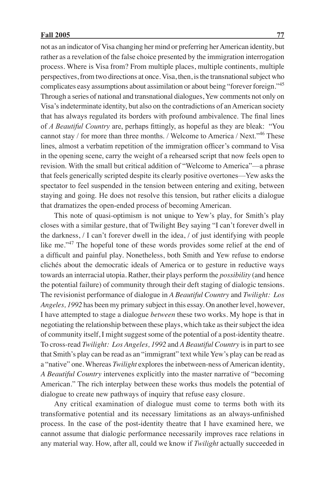not as an indicator of Visa changing her mind or preferring her American identity, but rather as a revelation of the false choice presented by the immigration interrogation process. Where is Visa from? From multiple places, multiple continents, multiple perspectives, from two directions at once. Visa, then, is the transnational subject who complicates easy assumptions about assimilation or about being "forever foreign."45 Through a series of national and transnational dialogues, Yew comments not only on Visa's indeterminate identity, but also on the contradictions of an American society that has always regulated its borders with profound ambivalence. The final lines of *A Beautiful Country* are, perhaps fittingly, as hopeful as they are bleak: "You cannot stay / for more than three months. / Welcome to America / Next."46 These lines, almost a verbatim repetition of the immigration officer's command to Visa in the opening scene, carry the weight of a rehearsed script that now feels open to revision. With the small but critical addition of "Welcome to America"—a phrase that feels generically scripted despite its clearly positive overtones—Yew asks the spectator to feel suspended in the tension between entering and exiting, between staying and going. He does not resolve this tension, but rather elicits a dialogue that dramatizes the open-ended process of becoming American.

This note of quasi-optimism is not unique to Yew's play, for Smith's play closes with a similar gesture, that of Twilight Bey saying "I can't forever dwell in the darkness, / I can't forever dwell in the idea, / of just identifying with people like me."<sup>47</sup> The hopeful tone of these words provides some relief at the end of a difficult and painful play. Nonetheless, both Smith and Yew refuse to endorse clichés about the democratic ideals of America or to gesture in reductive ways towards an interracial utopia. Rather, their plays perform the *possibility* (and hence the potential failure) of community through their deft staging of dialogic tensions. The revisionist performance of dialogue in *A Beautiful Country* and *Twilight: Los Angeles, 1992* has been my primary subject in this essay. On another level, however, I have attempted to stage a dialogue *between* these two works. My hope is that in negotiating the relationship between these plays, which take as their subject the idea of community itself, I might suggest some of the potential of a post-identity theatre. To cross-read *Twilight: Los Angeles, 1992* and *A Beautiful Country* is in part to see that Smith's play can be read as an "immigrant" text while Yew's play can be read as a "native" one. Whereas *Twilight* explores the inbetween-ness of American identity, *A Beautiful Country* intervenes explicitly into the master narrative of "becoming American." The rich interplay between these works thus models the potential of dialogue to create new pathways of inquiry that refuse easy closure.

Any critical examination of dialogue must come to terms both with its transformative potential and its necessary limitations as an always-unfinished process. In the case of the post-identity theatre that I have examined here, we cannot assume that dialogic performance necessarily improves race relations in any material way. How, after all, could we know if *Twilight* actually succeeded in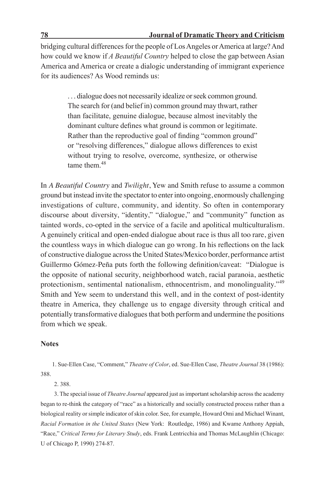bridging cultural differences for the people of Los Angeles or America at large? And how could we know if *A Beautiful Country* helped to close the gap between Asian America and America or create a dialogic understanding of immigrant experience for its audiences? As Wood reminds us:

> . . . dialogue does not necessarily idealize or seek common ground. The search for (and belief in) common ground may thwart, rather than facilitate, genuine dialogue, because almost inevitably the dominant culture defines what ground is common or legitimate. Rather than the reproductive goal of finding "common ground" or "resolving differences," dialogue allows differences to exist without trying to resolve, overcome, synthesize, or otherwise tame them  $48$

In *A Beautiful Country* and *Twilight*, Yew and Smith refuse to assume a common ground but instead invite the spectator to enter into ongoing, enormously challenging investigations of culture, community, and identity. So often in contemporary discourse about diversity, "identity," "dialogue," and "community" function as tainted words, co-opted in the service of a facile and apolitical multiculturalism. A genuinely critical and open-ended dialogue about race is thus all too rare, given the countless ways in which dialogue can go wrong. In his reflections on the lack of constructive dialogue across the United States/Mexico border, performance artist Guillermo Gómez-Peña puts forth the following definition/caveat: "Dialogue is the opposite of national security, neighborhood watch, racial paranoia, aesthetic protectionism, sentimental nationalism, ethnocentrism, and monolinguality."<sup>49</sup> Smith and Yew seem to understand this well, and in the context of post-identity theatre in America, they challenge us to engage diversity through critical and potentially transformative dialogues that both perform and undermine the positions from which we speak.

# **Notes**

 1. Sue-Ellen Case, "Comment," *Theatre of Color*, ed. Sue-Ellen Case, *Theatre Journal* 38 (1986): 388.

2. 388.

3. The special issue of *Theatre Journal* appeared just as important scholarship across the academy began to re-think the category of "race" as a historically and socially constructed process rather than a biological reality or simple indicator of skin color. See, for example, Howard Omi and Michael Winant, *Racial Formation in the United States* (New York: Routledge, 1986) and Kwame Anthony Appiah, "Race," *Critical Terms for Literary Study*, eds. Frank Lentricchia and Thomas McLaughlin (Chicago: U of Chicago P, 1990) 274-87.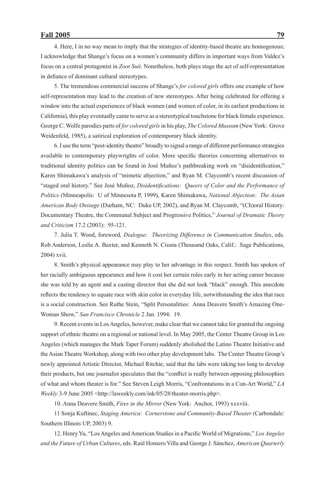4. Here, I in no way mean to imply that the strategies of identity-based theatre are homogenous; I acknowledge that Shange's focus on a women's community differs in important ways from Valdez's focus on a central protagonist in *Zoot Suit*. Nonetheless, both plays stage the act of self-representation in defiance of dominant cultural stereotypes.

5. The tremendous commercial success of Shange's *for colored girls* offers one example of how self-representation may lead to the creation of new stereotypes. After being celebrated for offering a window into the actual experiences of black women (and women of color, in its earliest productions in California), this play eventually came to serve as a stereotypical touchstone for black female experience. George C. Wolfe parodies parts of *for colored girls* in his play, *The Colored Museum* (New York: Grove Weidenfeld, 1985), a satirical exploration of contemporary black identity.

6. I use the term "post-identity theatre" broadly to signal a range of different performance strategies available to contemporary playwrights of color. More specific theories concerning alternatives to traditional identity politics can be found in José Muñoz's pathbreaking work on "disidentification," Karen Shimakawa's analysis of "mimetic abjection," and Ryan M. Claycomb's recent discussion of "staged oral history." See José Muñoz, *Disidentifications: Queers of Color and the Performance of Politics* (Minneapolis: U of Minnesota P, 1999), Karen Shimakawa, *National Abjection: The Asian American Body Onstage* (Durham, NC: Duke UP, 2002), and Ryan M. Claycomb, "(Ch)oral History: Documentary Theatre, the Communal Subject and Progressive Politics," *Journal of Dramatic Theory and Criticism* 17.2 (2003): 95-121.

7. Julia T. Wood, foreword*, Dialogue: Theorizing Difference in Communication Studies*, eds. Rob Anderson, Leslie A. Baxter, and Kenneth N. Cissna (Thousand Oaks, Calif.: Sage Publications, 2004) xvii.

8. Smith's physical appearance may play to her advantage in this respect. Smith has spoken of her racially ambiguous appearance and how it cost her certain roles early in her acting career because she was told by an agent and a casting director that she did not look "black" enough. This anecdote reflects the tendency to equate race with skin color in everyday life, notwithstanding the idea that race is a social construction. See Ruthe Stein, "Split Personalities: Anna Deavere Smith's Amazing One-Woman Show," *San Francisco Chronicle* 2 Jan. 1994: 19.

9. Recent events in Los Angeles, however, make clear that we cannot take for granted the ongoing support of ethnic theatre on a regional or national level. In May 2005, the Center Theatre Group in Los Angeles (which manages the Mark Taper Forum) suddenly abolished the Latino Theatre Initiative and the Asian Theatre Workshop, along with two other play development labs. The Center Theatre Group's newly appointed Artistic Director, Michael Ritchie, said that the labs were taking too long to develop their products, but one journalist speculates that the "conflict is really between opposing philosophies of what and whom theater is for." See Steven Leigh Morris, "Confrontations in a Con-Art World," *LA Weekly* 3-9 June 2005 <http://laweekly.com/ink/05/28/theater-morris.php>.

10. Anna Deavere Smith, *Fires in the Mirror* (New York: Anchor, 1993) xxxviii.

11 Sonja Kuftinec, *Staging America: Cornerstone and Community-Based Theater* (Carbondale: Southern Illinois UP, 2003) 9.

12. Henry Yu, "Los Angeles and American Studies in a Pacific World of Migrations," *Los Angeles and the Future of Urban Cultures*, eds. Raúl Homero Villa and George J. Sánchez, *American Quarterly*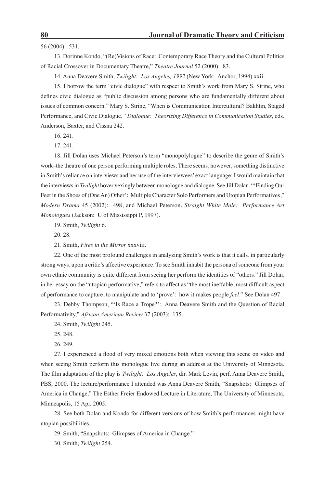56 (2004): 531.

13. Dorinne Kondo, "(Re)Visions of Race: Contemporary Race Theory and the Cultural Politics of Racial Crossover in Documentary Theatre," *Theatre Journal* 52 (2000): 83.

14. Anna Deavere Smith, *Twilight: Los Angeles, 1992* (New York: Anchor, 1994) xxii.

15. I borrow the term "civic dialogue" with respect to Smith's work from Mary S. Strine, who defines civic dialogue as "public discussion among persons who are fundamentally different about issues of common concern." Mary S. Strine, "When is Communication Intercultural? Bakhtin, Staged Performance, and Civic Dialogue*," Dialogue: Theorizing Difference in Communication Studies*, eds. Anderson, Baxter, and Cissna 242.

16. 241.

17. 241.

18. Jill Dolan uses Michael Peterson's term "monopolylogue" to describe the genre of Smith's work–the theatre of one person performing multiple roles. There seems, however, something distinctive in Smith's reliance on interviews and her use of the interviewees' exact language; I would maintain that the interviews in *Twilight* hover vexingly between monologue and dialogue. See Jill Dolan, "'Finding Our Feet in the Shoes of (One An) Other': Multiple Character Solo Performers and Utopian Performatives," *Modern Drama* 45 (2002): 498, and Michael Peterson, *Straight White Male: Performance Art Monologues* (Jackson: U of Mississippi P, 1997).

19. Smith, *Twilight* 6.

20. 28.

21. Smith, *Fires in the Mirror* xxxviii.

22. One of the most profound challenges in analyzing Smith's work is that it calls, in particularly strong ways, upon a critic's affective experience. To see Smith inhabit the persona of someone from your own ethnic community is quite different from seeing her perform the identities of "others." Jill Dolan, in her essay on the "utopian performative," refers to affect as "the most ineffable, most difficult aspect of performance to capture, to manipulate and to 'prove': how it makes people *feel*." See Dolan 497.

23. Debby Thompson, "'Is Race a Trope?': Anna Deavere Smith and the Question of Racial Performativity," *African American Review* 37 (2003): 135.

24. Smith, *Twilight* 245.

25. 248.

26. 249.

27. I experienced a flood of very mixed emotions both when viewing this scene on video and when seeing Smith perform this monologue live during an address at the University of Minnesota. The film adaptation of the play is *Twilight: Los Angeles*, dir. Mark Levin, perf. Anna Deavere Smith, PBS, 2000. The lecture/performance I attended was Anna Deavere Smith, "Snapshots: Glimpses of America in Change," The Esther Freier Endowed Lecture in Literature, The University of Minnesota, Minneapolis, 15 Apr. 2005.

28. See both Dolan and Kondo for different versions of how Smith's performances might have utopian possibilities.

29. Smith, "Snapshots: Glimpses of America in Change."

30. Smith, *Twilight* 254.